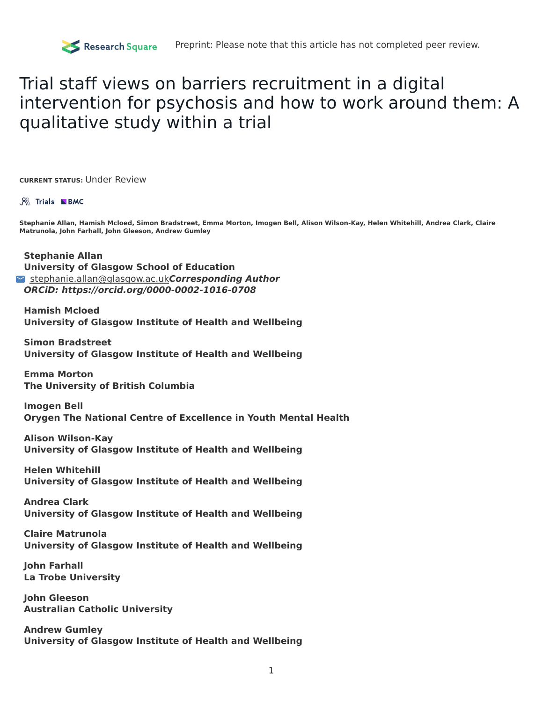# Trial staff views on barriers recruitment in a digital intervention for psychosis and how to work around them: A qualitative study within a trial

**CURRENT STATUS:** Under Review

#### **R& Trials NBMC**

Stephanie Allan, Hamish Mcloed, Simon Bradstreet, Emma Morton, Imogen Bell, Alison Wilson-Kay, Helen Whitehill, Andrea Clark, Claire **Matrunola, John Farhall, John Gleeson, Andrew Gumley**

**Stephanie Allan University of Glasgow School of Education** [stephanie.allan@glasgow.ac.uk](mailto:stephanie.allan@glasgow.ac.uk)**Corresponding Author ORCiD: https://orcid.org/0000-0002-1016-0708**

**Hamish Mcloed University of Glasgow Institute of Health and Wellbeing**

**Simon Bradstreet University of Glasgow Institute of Health and Wellbeing**

**Emma Morton The University of British Columbia**

**Imogen Bell Orygen The National Centre of Excellence in Youth Mental Health**

**Alison Wilson-Kay University of Glasgow Institute of Health and Wellbeing**

**Helen Whitehill University of Glasgow Institute of Health and Wellbeing**

**Andrea Clark University of Glasgow Institute of Health and Wellbeing**

**Claire Matrunola University of Glasgow Institute of Health and Wellbeing**

**John Farhall La Trobe University**

**John Gleeson Australian Catholic University**

**Andrew Gumley University of Glasgow Institute of Health and Wellbeing**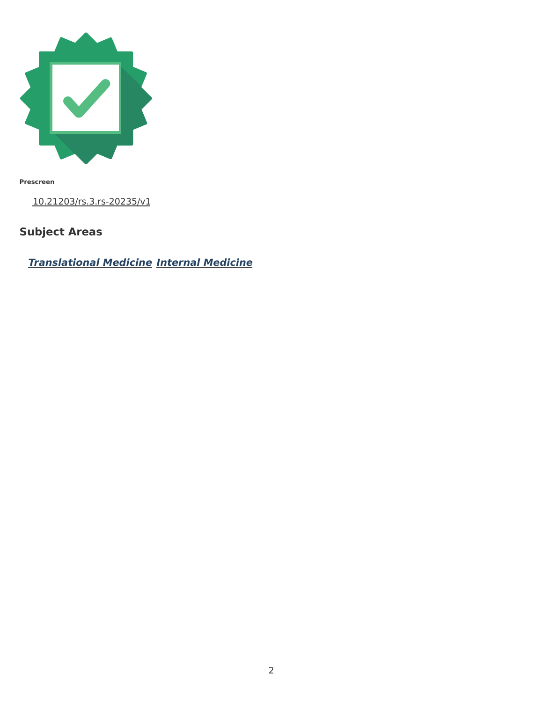

**Prescreen**

[10.21203/rs.3.rs-20235/v1](https://dx.doi.org/10.21203/rs.3.rs-20235/v1)

## **Subject Areas**

**[Translational](https://www.researchsquare.com/browse?subjectArea=Translational%20Medicine) Medicine Internal [Medicine](https://www.researchsquare.com/browse?subjectArea=Internal%20Medicine)**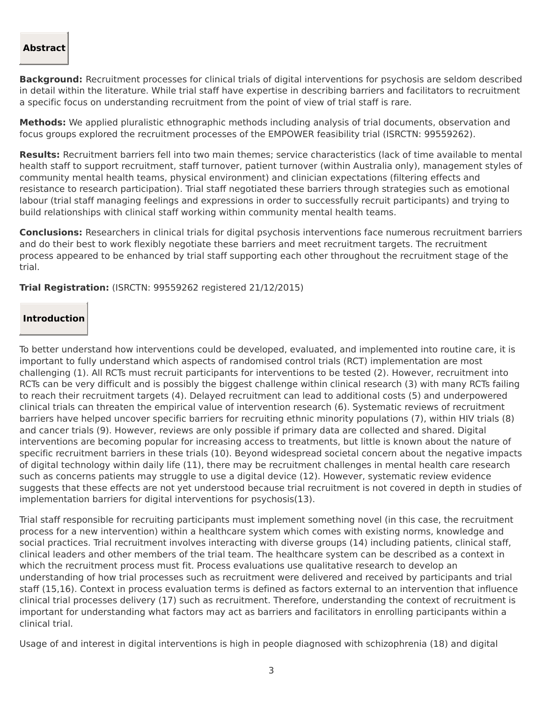#### **Abstract**

**Background:** Recruitment processes for clinical trials of digital interventions for psychosis are seldom described in detail within the literature. While trial staff have expertise in describing barriers and facilitators to recruitment a specific focus on understanding recruitment from the point of view of trial staff is rare.

**Methods:** We applied pluralistic ethnographic methods including analysis of trial documents, observation and focus groups explored the recruitment processes of the EMPOWER feasibility trial (ISRCTN: 99559262).

**Results:** Recruitment barriers fell into two main themes; service characteristics (lack of time available to mental health staff to support recruitment, staff turnover, patient turnover (within Australia only), management styles of community mental health teams, physical environment) and clinician expectations (filtering effects and resistance to research participation). Trial staff negotiated these barriers through strategies such as emotional labour (trial staff managing feelings and expressions in order to successfully recruit participants) and trying to build relationships with clinical staff working within community mental health teams.

**Conclusions:** Researchers in clinical trials for digital psychosis interventions face numerous recruitment barriers and do their best to work flexibly negotiate these barriers and meet recruitment targets. The recruitment process appeared to be enhanced by trial staff supporting each other throughout the recruitment stage of the trial.

**Trial Registration:** (ISRCTN: 99559262 registered 21/12/2015)

#### **Introduction**

To better understand how interventions could be developed, evaluated, and implemented into routine care, it is important to fully understand which aspects of randomised control trials (RCT) implementation are most challenging (1). All RCTs must recruit participants for interventions to be tested (2). However, recruitment into RCTs can be very difficult and is possibly the biggest challenge within clinical research (3) with many RCTs failing to reach their recruitment targets (4). Delayed recruitment can lead to additional costs (5) and underpowered clinical trials can threaten the empirical value of intervention research (6). Systematic reviews of recruitment barriers have helped uncover specific barriers for recruiting ethnic minority populations (7), within HIV trials (8) and cancer trials (9). However, reviews are only possible if primary data are collected and shared. Digital interventions are becoming popular for increasing access to treatments, but little is known about the nature of specific recruitment barriers in these trials (10). Beyond widespread societal concern about the negative impacts of digital technology within daily life (11), there may be recruitment challenges in mental health care research such as concerns patients may struggle to use a digital device (12). However, systematic review evidence suggests that these effects are not yet understood because trial recruitment is not covered in depth in studies of implementation barriers for digital interventions for psychosis(13).

Trial staff responsible for recruiting participants must implement something novel (in this case, the recruitment process for a new intervention) within a healthcare system which comes with existing norms, knowledge and social practices. Trial recruitment involves interacting with diverse groups (14) including patients, clinical staff, clinical leaders and other members of the trial team. The healthcare system can be described as a context in which the recruitment process must fit. Process evaluations use qualitative research to develop an understanding of how trial processes such as recruitment were delivered and received by participants and trial staff (15,16). Context in process evaluation terms is defined as factors external to an intervention that influence clinical trial processes delivery (17) such as recruitment. Therefore, understanding the context of recruitment is important for understanding what factors may act as barriers and facilitators in enrolling participants within a clinical trial.

Usage of and interest in digital interventions is high in people diagnosed with schizophrenia (18) and digital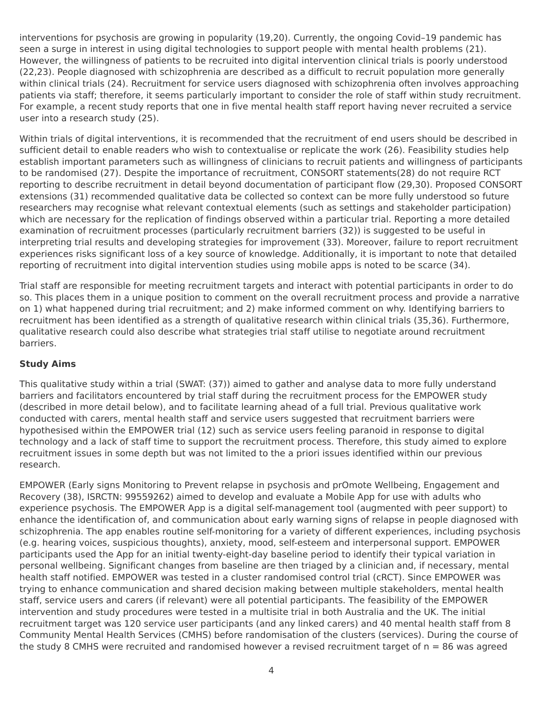interventions for psychosis are growing in popularity (19,20). Currently, the ongoing Covid–19 pandemic has seen a surge in interest in using digital technologies to support people with mental health problems (21). However, the willingness of patients to be recruited into digital intervention clinical trials is poorly understood (22,23). People diagnosed with schizophrenia are described as a difficult to recruit population more generally within clinical trials (24). Recruitment for service users diagnosed with schizophrenia often involves approaching patients via staff; therefore, it seems particularly important to consider the role of staff within study recruitment. For example, a recent study reports that one in five mental health staff report having never recruited a service user into a research study (25).

Within trials of digital interventions, it is recommended that the recruitment of end users should be described in sufficient detail to enable readers who wish to contextualise or replicate the work (26). Feasibility studies help establish important parameters such as willingness of clinicians to recruit patients and willingness of participants to be randomised (27). Despite the importance of recruitment, CONSORT statements(28) do not require RCT reporting to describe recruitment in detail beyond documentation of participant flow (29,30). Proposed CONSORT extensions (31) recommended qualitative data be collected so context can be more fully understood so future researchers may recognise what relevant contextual elements (such as settings and stakeholder participation) which are necessary for the replication of findings observed within a particular trial. Reporting a more detailed examination of recruitment processes (particularly recruitment barriers (32)) is suggested to be useful in interpreting trial results and developing strategies for improvement (33). Moreover, failure to report recruitment experiences risks significant loss of a key source of knowledge. Additionally, it is important to note that detailed reporting of recruitment into digital intervention studies using mobile apps is noted to be scarce (34).

Trial staff are responsible for meeting recruitment targets and interact with potential participants in order to do so. This places them in a unique position to comment on the overall recruitment process and provide a narrative on 1) what happened during trial recruitment; and 2) make informed comment on why. Identifying barriers to recruitment has been identified as a strength of qualitative research within clinical trials (35,36). Furthermore, qualitative research could also describe what strategies trial staff utilise to negotiate around recruitment barriers.

### **Study Aims**

This qualitative study within a trial (SWAT: (37)) aimed to gather and analyse data to more fully understand barriers and facilitators encountered by trial staff during the recruitment process for the EMPOWER study (described in more detail below), and to facilitate learning ahead of a full trial. Previous qualitative work conducted with carers, mental health staff and service users suggested that recruitment barriers were hypothesised within the EMPOWER trial (12) such as service users feeling paranoid in response to digital technology and a lack of staff time to support the recruitment process. Therefore, this study aimed to explore recruitment issues in some depth but was not limited to the a priori issues identified within our previous research.

EMPOWER (Early signs Monitoring to Prevent relapse in psychosis and prOmote Wellbeing, Engagement and Recovery (38), ISRCTN: 99559262) aimed to develop and evaluate a Mobile App for use with adults who experience psychosis. The EMPOWER App is a digital self-management tool (augmented with peer support) to enhance the identification of, and communication about early warning signs of relapse in people diagnosed with schizophrenia. The app enables routine self-monitoring for a variety of different experiences, including psychosis (e.g. hearing voices, suspicious thoughts), anxiety, mood, self-esteem and interpersonal support. EMPOWER participants used the App for an initial twenty-eight-day baseline period to identify their typical variation in personal wellbeing. Significant changes from baseline are then triaged by a clinician and, if necessary, mental health staff notified. EMPOWER was tested in a cluster randomised control trial (cRCT). Since EMPOWER was trying to enhance communication and shared decision making between multiple stakeholders, mental health staff, service users and carers (if relevant) were all potential participants. The feasibility of the EMPOWER intervention and study procedures were tested in a multisite trial in both Australia and the UK. The initial recruitment target was 120 service user participants (and any linked carers) and 40 mental health staff from 8 Community Mental Health Services (CMHS) before randomisation of the clusters (services). During the course of the study 8 CMHS were recruited and randomised however a revised recruitment target of  $n = 86$  was agreed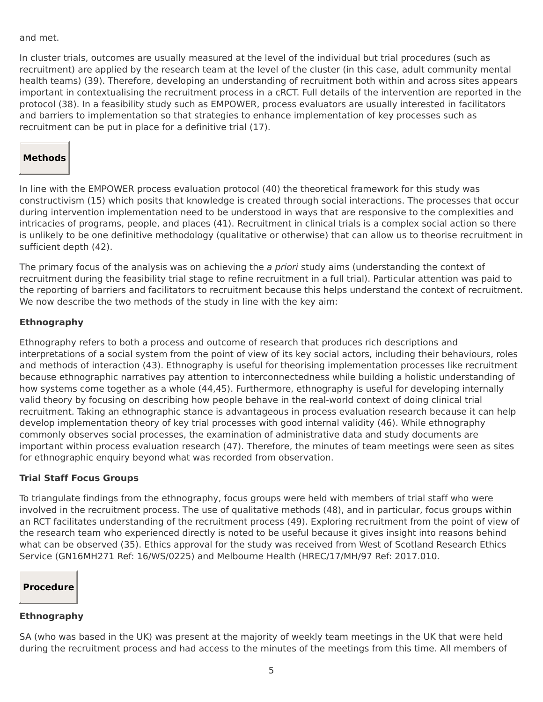and met.

In cluster trials, outcomes are usually measured at the level of the individual but trial procedures (such as recruitment) are applied by the research team at the level of the cluster (in this case, adult community mental health teams) (39). Therefore, developing an understanding of recruitment both within and across sites appears important in contextualising the recruitment process in a cRCT. Full details of the intervention are reported in the protocol (38). In a feasibility study such as EMPOWER, process evaluators are usually interested in facilitators and barriers to implementation so that strategies to enhance implementation of key processes such as recruitment can be put in place for a definitive trial (17).

## **Methods**

In line with the EMPOWER process evaluation protocol (40) the theoretical framework for this study was constructivism (15) which posits that knowledge is created through social interactions. The processes that occur during intervention implementation need to be understood in ways that are responsive to the complexities and intricacies of programs, people, and places (41). Recruitment in clinical trials is a complex social action so there is unlikely to be one definitive methodology (qualitative or otherwise) that can allow us to theorise recruitment in sufficient depth (42).

The primary focus of the analysis was on achieving the a priori study aims (understanding the context of recruitment during the feasibility trial stage to refine recruitment in a full trial). Particular attention was paid to the reporting of barriers and facilitators to recruitment because this helps understand the context of recruitment. We now describe the two methods of the study in line with the key aim:

#### **Ethnography**

Ethnography refers to both a process and outcome of research that produces rich descriptions and interpretations of a social system from the point of view of its key social actors, including their behaviours, roles and methods of interaction (43). Ethnography is useful for theorising implementation processes like recruitment because ethnographic narratives pay attention to interconnectedness while building a holistic understanding of how systems come together as a whole (44,45). Furthermore, ethnography is useful for developing internally valid theory by focusing on describing how people behave in the real-world context of doing clinical trial recruitment. Taking an ethnographic stance is advantageous in process evaluation research because it can help develop implementation theory of key trial processes with good internal validity (46). While ethnography commonly observes social processes, the examination of administrative data and study documents are important within process evaluation research (47). Therefore, the minutes of team meetings were seen as sites for ethnographic enquiry beyond what was recorded from observation.

### **Trial Staff Focus Groups**

To triangulate findings from the ethnography, focus groups were held with members of trial staff who were involved in the recruitment process. The use of qualitative methods (48), and in particular, focus groups within an RCT facilitates understanding of the recruitment process (49). Exploring recruitment from the point of view of the research team who experienced directly is noted to be useful because it gives insight into reasons behind what can be observed (35). Ethics approval for the study was received from West of Scotland Research Ethics Service (GN16MH271 Ref: 16/WS/0225) and Melbourne Health (HREC/17/MH/97 Ref: 2017.010.

## **Procedure**

#### **Ethnography**

SA (who was based in the UK) was present at the majority of weekly team meetings in the UK that were held during the recruitment process and had access to the minutes of the meetings from this time. All members of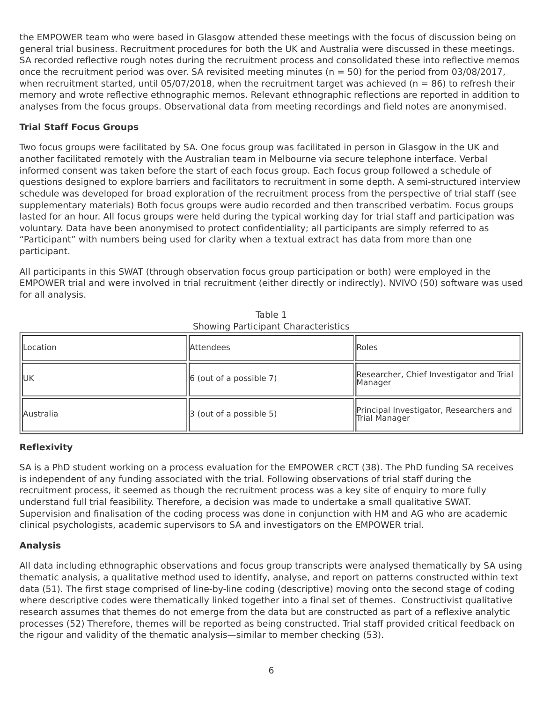the EMPOWER team who were based in Glasgow attended these meetings with the focus of discussion being on general trial business. Recruitment procedures for both the UK and Australia were discussed in these meetings. SA recorded reflective rough notes during the recruitment process and consolidated these into reflective memos once the recruitment period was over. SA revisited meeting minutes ( $n = 50$ ) for the period from 03/08/2017, when recruitment started, until 05/07/2018, when the recruitment target was achieved ( $n = 86$ ) to refresh their memory and wrote reflective ethnographic memos. Relevant ethnographic reflections are reported in addition to analyses from the focus groups. Observational data from meeting recordings and field notes are anonymised.

## **Trial Staff Focus Groups**

Two focus groups were facilitated by SA. One focus group was facilitated in person in Glasgow in the UK and another facilitated remotely with the Australian team in Melbourne via secure telephone interface. Verbal informed consent was taken before the start of each focus group. Each focus group followed a schedule of questions designed to explore barriers and facilitators to recruitment in some depth. A semi-structured interview schedule was developed for broad exploration of the recruitment process from the perspective of trial staff (see supplementary materials) Both focus groups were audio recorded and then transcribed verbatim. Focus groups lasted for an hour. All focus groups were held during the typical working day for trial staff and participation was voluntary. Data have been anonymised to protect confidentiality; all participants are simply referred to as "Participant" with numbers being used for clarity when a textual extract has data from more than one participant.

All participants in this SWAT (through observation focus group participation or both) were employed in the EMPOWER trial and were involved in trial recruitment (either directly or indirectly). NVIVO (50) software was used for all analysis.

| Location    | l Attendees                     | Roles                                                    |
|-------------|---------------------------------|----------------------------------------------------------|
| <b>IIUK</b> | $\vert$ 6 (out of a possible 7) | Researcher, Chief Investigator and Trial<br> Manager     |
| Australia   | $ 3$ (out of a possible 5)      | Principal Investigator, Researchers and<br>Trial Manager |

Table 1 Showing Participant Characteristics

### **Reflexivity**

SA is a PhD student working on a process evaluation for the EMPOWER cRCT (38). The PhD funding SA receives is independent of any funding associated with the trial. Following observations of trial staff during the recruitment process, it seemed as though the recruitment process was a key site of enquiry to more fully understand full trial feasibility. Therefore, a decision was made to undertake a small qualitative SWAT. Supervision and finalisation of the coding process was done in conjunction with HM and AG who are academic clinical psychologists, academic supervisors to SA and investigators on the EMPOWER trial.

### **Analysis**

All data including ethnographic observations and focus group transcripts were analysed thematically by SA using thematic analysis, a qualitative method used to identify, analyse, and report on patterns constructed within text data (51). The first stage comprised of line-by-line coding (descriptive) moving onto the second stage of coding where descriptive codes were thematically linked together into a final set of themes. Constructivist qualitative research assumes that themes do not emerge from the data but are constructed as part of a reflexive analytic processes (52) Therefore, themes will be reported as being constructed. Trial staff provided critical feedback on the rigour and validity of the thematic analysis—similar to member checking (53).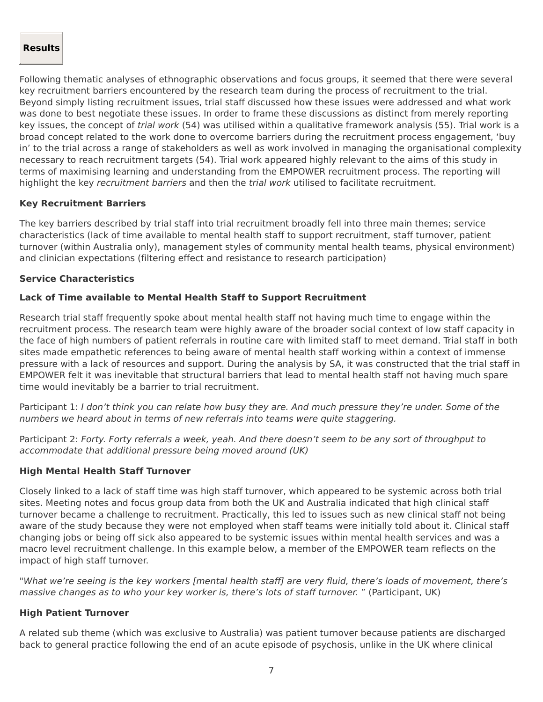#### **Results**

Following thematic analyses of ethnographic observations and focus groups, it seemed that there were several key recruitment barriers encountered by the research team during the process of recruitment to the trial. Beyond simply listing recruitment issues, trial staff discussed how these issues were addressed and what work was done to best negotiate these issues. In order to frame these discussions as distinct from merely reporting key issues, the concept of trial work (54) was utilised within a qualitative framework analysis (55). Trial work is a broad concept related to the work done to overcome barriers during the recruitment process engagement, 'buy in' to the trial across a range of stakeholders as well as work involved in managing the organisational complexity necessary to reach recruitment targets (54). Trial work appeared highly relevant to the aims of this study in terms of maximising learning and understanding from the EMPOWER recruitment process. The reporting will highlight the key recruitment barriers and then the trial work utilised to facilitate recruitment.

#### **Key Recruitment Barriers**

The key barriers described by trial staff into trial recruitment broadly fell into three main themes; service characteristics (lack of time available to mental health staff to support recruitment, staff turnover, patient turnover (within Australia only), management styles of community mental health teams, physical environment) and clinician expectations (filtering effect and resistance to research participation)

#### **Service Characteristics**

#### **Lack of Time available to Mental Health Staff to Support Recruitment**

Research trial staff frequently spoke about mental health staff not having much time to engage within the recruitment process. The research team were highly aware of the broader social context of low staff capacity in the face of high numbers of patient referrals in routine care with limited staff to meet demand. Trial staff in both sites made empathetic references to being aware of mental health staff working within a context of immense pressure with a lack of resources and support. During the analysis by SA, it was constructed that the trial staff in EMPOWER felt it was inevitable that structural barriers that lead to mental health staff not having much spare time would inevitably be a barrier to trial recruitment.

Participant 1: I don't think you can relate how busy they are. And much pressure they're under. Some of the numbers we heard about in terms of new referrals into teams were quite staggering.

Participant 2: Forty. Forty referrals a week, yeah. And there doesn't seem to be any sort of throughput to accommodate that additional pressure being moved around (UK)

#### **High Mental Health Staff Turnover**

Closely linked to a lack of staff time was high staff turnover, which appeared to be systemic across both trial sites. Meeting notes and focus group data from both the UK and Australia indicated that high clinical staff turnover became a challenge to recruitment. Practically, this led to issues such as new clinical staff not being aware of the study because they were not employed when staff teams were initially told about it. Clinical staff changing jobs or being off sick also appeared to be systemic issues within mental health services and was a macro level recruitment challenge. In this example below, a member of the EMPOWER team reflects on the impact of high staff turnover.

"What we're seeing is the key workers [mental health staff] are very fluid, there's loads of movement, there's massive changes as to who your key worker is, there's lots of staff turnover. " (Participant, UK)

#### **High Patient Turnover**

A related sub theme (which was exclusive to Australia) was patient turnover because patients are discharged back to general practice following the end of an acute episode of psychosis, unlike in the UK where clinical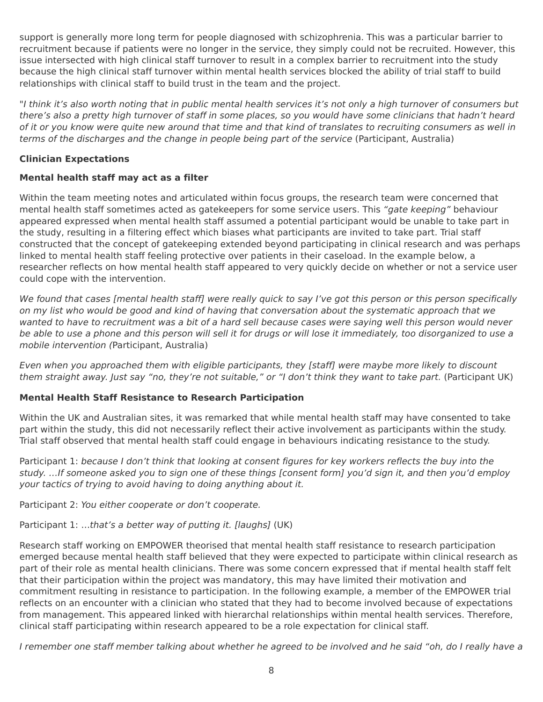support is generally more long term for people diagnosed with schizophrenia. This was a particular barrier to recruitment because if patients were no longer in the service, they simply could not be recruited. However, this issue intersected with high clinical staff turnover to result in a complex barrier to recruitment into the study because the high clinical staff turnover within mental health services blocked the ability of trial staff to build relationships with clinical staff to build trust in the team and the project.

"I think it's also worth noting that in public mental health services it's not only a high turnover of consumers but there's also a pretty high turnover of staff in some places, so you would have some clinicians that hadn't heard of it or you know were quite new around that time and that kind of translates to recruiting consumers as well in terms of the discharges and the change in people being part of the service (Participant, Australia)

#### **Clinician Expectations**

#### **Mental health staff may act as a filter**

Within the team meeting notes and articulated within focus groups, the research team were concerned that mental health staff sometimes acted as gatekeepers for some service users. This "gate keeping" behaviour appeared expressed when mental health staff assumed a potential participant would be unable to take part in the study, resulting in a filtering effect which biases what participants are invited to take part. Trial staff constructed that the concept of gatekeeping extended beyond participating in clinical research and was perhaps linked to mental health staff feeling protective over patients in their caseload. In the example below, a researcher reflects on how mental health staff appeared to very quickly decide on whether or not a service user could cope with the intervention.

We found that cases [mental health staff] were really quick to say I've got this person or this person specifically on my list who would be good and kind of having that conversation about the systematic approach that we wanted to have to recruitment was a bit of a hard sell because cases were saying well this person would never be able to use a phone and this person will sell it for drugs or will lose it immediately, too disorganized to use a mobile intervention (Participant, Australia)

Even when you approached them with eligible participants, they [staff] were maybe more likely to discount them straight away. Just say "no, they're not suitable," or "I don't think they want to take part. (Participant UK)

### **Mental Health Staff Resistance to Research Participation**

Within the UK and Australian sites, it was remarked that while mental health staff may have consented to take part within the study, this did not necessarily reflect their active involvement as participants within the study. Trial staff observed that mental health staff could engage in behaviours indicating resistance to the study.

Participant 1: because I don't think that looking at consent figures for key workers reflects the buy into the study. …If someone asked you to sign one of these things [consent form] you'd sign it, and then you'd employ your tactics of trying to avoid having to doing anything about it.

Participant 2: You either cooperate or don't cooperate.

Participant 1: ...that's a better way of putting it. [laughs] (UK)

Research staff working on EMPOWER theorised that mental health staff resistance to research participation emerged because mental health staff believed that they were expected to participate within clinical research as part of their role as mental health clinicians. There was some concern expressed that if mental health staff felt that their participation within the project was mandatory, this may have limited their motivation and commitment resulting in resistance to participation. In the following example, a member of the EMPOWER trial reflects on an encounter with a clinician who stated that they had to become involved because of expectations from management. This appeared linked with hierarchal relationships within mental health services. Therefore, clinical staff participating within research appeared to be a role expectation for clinical staff.

I remember one staff member talking about whether he agreed to be involved and he said "oh, do I really have a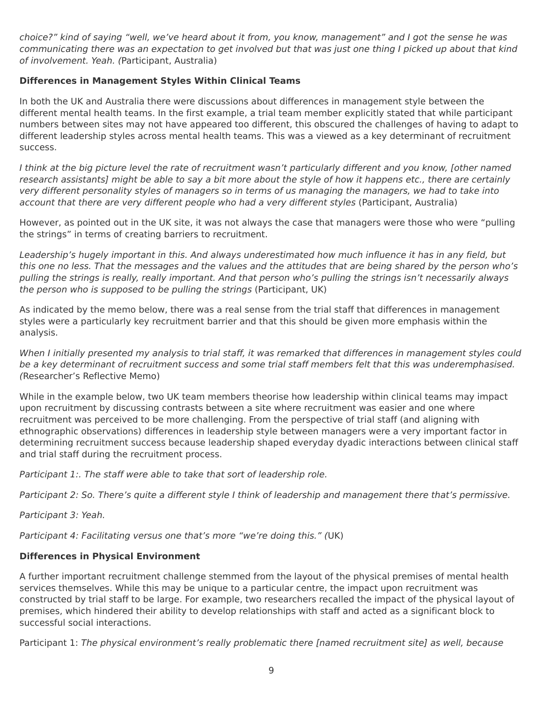choice?" kind of saying "well, we've heard about it from, you know, management" and I got the sense he was communicating there was an expectation to get involved but that was just one thing I picked up about that kind of involvement. Yeah. (Participant, Australia)

#### **Differences in Management Styles Within Clinical Teams**

In both the UK and Australia there were discussions about differences in management style between the different mental health teams. In the first example, a trial team member explicitly stated that while participant numbers between sites may not have appeared too different, this obscured the challenges of having to adapt to different leadership styles across mental health teams. This was a viewed as a key determinant of recruitment success.

I think at the big picture level the rate of recruitment wasn't particularly different and you know, [other named research assistants] might be able to say a bit more about the style of how it happens etc., there are certainly very different personality styles of managers so in terms of us managing the managers, we had to take into account that there are very different people who had a very different styles (Participant, Australia)

However, as pointed out in the UK site, it was not always the case that managers were those who were "pulling the strings" in terms of creating barriers to recruitment.

Leadership's hugely important in this. And always underestimated how much influence it has in any field, but this one no less. That the messages and the values and the attitudes that are being shared by the person who's pulling the strings is really, really important. And that person who's pulling the strings isn't necessarily always the person who is supposed to be pulling the strings (Participant, UK)

As indicated by the memo below, there was a real sense from the trial staff that differences in management styles were a particularly key recruitment barrier and that this should be given more emphasis within the analysis.

When I initially presented my analysis to trial staff, it was remarked that differences in management styles could be a key determinant of recruitment success and some trial staff members felt that this was underemphasised. (Researcher's Reflective Memo)

While in the example below, two UK team members theorise how leadership within clinical teams may impact upon recruitment by discussing contrasts between a site where recruitment was easier and one where recruitment was perceived to be more challenging. From the perspective of trial staff (and aligning with ethnographic observations) differences in leadership style between managers were a very important factor in determining recruitment success because leadership shaped everyday dyadic interactions between clinical staff and trial staff during the recruitment process.

Participant 1:. The staff were able to take that sort of leadership role.

Participant 2: So. There's quite a different style I think of leadership and management there that's permissive.

Participant 3: Yeah.

Participant 4: Facilitating versus one that's more "we're doing this." (UK)

#### **Differences in Physical Environment**

A further important recruitment challenge stemmed from the layout of the physical premises of mental health services themselves. While this may be unique to a particular centre, the impact upon recruitment was constructed by trial staff to be large. For example, two researchers recalled the impact of the physical layout of premises, which hindered their ability to develop relationships with staff and acted as a significant block to successful social interactions.

Participant 1: The physical environment's really problematic there [named recruitment site] as well, because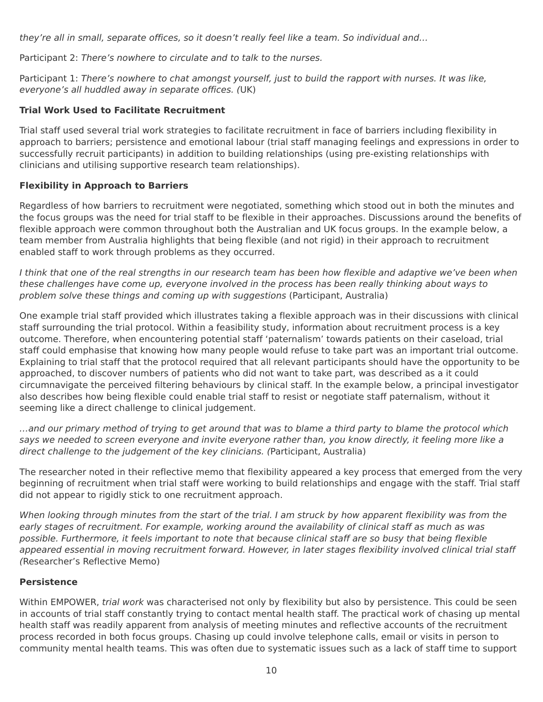they're all in small, separate offices, so it doesn't really feel like a team. So individual and…

Participant 2: There's nowhere to circulate and to talk to the nurses.

Participant 1: There's nowhere to chat amongst yourself, just to build the rapport with nurses. It was like, everyone's all huddled away in separate offices. (UK)

#### **Trial Work Used to Facilitate Recruitment**

Trial staff used several trial work strategies to facilitate recruitment in face of barriers including flexibility in approach to barriers; persistence and emotional labour (trial staff managing feelings and expressions in order to successfully recruit participants) in addition to building relationships (using pre-existing relationships with clinicians and utilising supportive research team relationships).

#### **Flexibility in Approach to Barriers**

Regardless of how barriers to recruitment were negotiated, something which stood out in both the minutes and the focus groups was the need for trial staff to be flexible in their approaches. Discussions around the benefits of flexible approach were common throughout both the Australian and UK focus groups. In the example below, a team member from Australia highlights that being flexible (and not rigid) in their approach to recruitment enabled staff to work through problems as they occurred.

I think that one of the real strengths in our research team has been how flexible and adaptive we've been when these challenges have come up, everyone involved in the process has been really thinking about ways to problem solve these things and coming up with suggestions (Participant, Australia)

One example trial staff provided which illustrates taking a flexible approach was in their discussions with clinical staff surrounding the trial protocol. Within a feasibility study, information about recruitment process is a key outcome. Therefore, when encountering potential staff 'paternalism' towards patients on their caseload, trial staff could emphasise that knowing how many people would refuse to take part was an important trial outcome. Explaining to trial staff that the protocol required that all relevant participants should have the opportunity to be approached, to discover numbers of patients who did not want to take part, was described as a it could circumnavigate the perceived filtering behaviours by clinical staff. In the example below, a principal investigator also describes how being flexible could enable trial staff to resist or negotiate staff paternalism, without it seeming like a direct challenge to clinical judgement.

…and our primary method of trying to get around that was to blame a third party to blame the protocol which says we needed to screen everyone and invite everyone rather than, you know directly, it feeling more like a direct challenge to the judgement of the key clinicians. (Participant, Australia)

The researcher noted in their reflective memo that flexibility appeared a key process that emerged from the very beginning of recruitment when trial staff were working to build relationships and engage with the staff. Trial staff did not appear to rigidly stick to one recruitment approach.

When looking through minutes from the start of the trial. I am struck by how apparent flexibility was from the early stages of recruitment. For example, working around the availability of clinical staff as much as was possible. Furthermore, it feels important to note that because clinical staff are so busy that being flexible appeared essential in moving recruitment forward. However, in later stages flexibility involved clinical trial staff (Researcher's Reflective Memo)

### **Persistence**

Within EMPOWER, trial work was characterised not only by flexibility but also by persistence. This could be seen in accounts of trial staff constantly trying to contact mental health staff. The practical work of chasing up mental health staff was readily apparent from analysis of meeting minutes and reflective accounts of the recruitment process recorded in both focus groups. Chasing up could involve telephone calls, email or visits in person to community mental health teams. This was often due to systematic issues such as a lack of staff time to support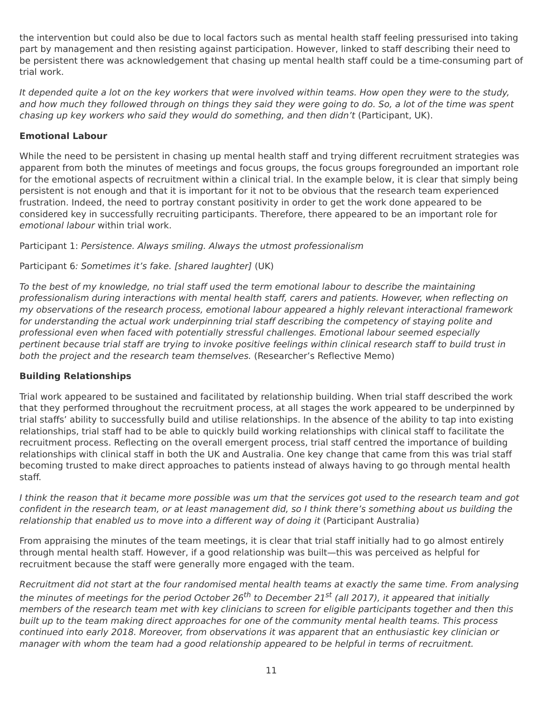the intervention but could also be due to local factors such as mental health staff feeling pressurised into taking part by management and then resisting against participation. However, linked to staff describing their need to be persistent there was acknowledgement that chasing up mental health staff could be a time-consuming part of trial work.

It depended quite a lot on the key workers that were involved within teams. How open they were to the study, and how much they followed through on things they said they were going to do. So, a lot of the time was spent chasing up key workers who said they would do something, and then didn't (Participant, UK).

#### **Emotional Labour**

While the need to be persistent in chasing up mental health staff and trying different recruitment strategies was apparent from both the minutes of meetings and focus groups, the focus groups foregrounded an important role for the emotional aspects of recruitment within a clinical trial. In the example below, it is clear that simply being persistent is not enough and that it is important for it not to be obvious that the research team experienced frustration. Indeed, the need to portray constant positivity in order to get the work done appeared to be considered key in successfully recruiting participants. Therefore, there appeared to be an important role for emotional labour within trial work.

Participant 1: Persistence. Always smiling. Always the utmost professionalism

#### Participant 6: Sometimes it's fake. [shared laughter] (UK)

To the best of my knowledge, no trial staff used the term emotional labour to describe the maintaining professionalism during interactions with mental health staff, carers and patients. However, when reflecting on my observations of the research process, emotional labour appeared a highly relevant interactional framework for understanding the actual work underpinning trial staff describing the competency of staying polite and professional even when faced with potentially stressful challenges. Emotional labour seemed especially pertinent because trial staff are trying to invoke positive feelings within clinical research staff to build trust in both the project and the research team themselves. (Researcher's Reflective Memo)

#### **Building Relationships**

Trial work appeared to be sustained and facilitated by relationship building. When trial staff described the work that they performed throughout the recruitment process, at all stages the work appeared to be underpinned by trial staffs' ability to successfully build and utilise relationships. In the absence of the ability to tap into existing relationships, trial staff had to be able to quickly build working relationships with clinical staff to facilitate the recruitment process. Reflecting on the overall emergent process, trial staff centred the importance of building relationships with clinical staff in both the UK and Australia. One key change that came from this was trial staff becoming trusted to make direct approaches to patients instead of always having to go through mental health staff.

I think the reason that it became more possible was um that the services got used to the research team and got confident in the research team, or at least management did, so I think there's something about us building the relationship that enabled us to move into a different way of doing it (Participant Australia)

From appraising the minutes of the team meetings, it is clear that trial staff initially had to go almost entirely through mental health staff. However, if a good relationship was built—this was perceived as helpful for recruitment because the staff were generally more engaged with the team.

Recruitment did not start at the four randomised mental health teams at exactly the same time. From analysing the minutes of meetings for the period October 26<sup>th</sup> to December 21<sup>st</sup> (all 2017), it appeared that initially members of the research team met with key clinicians to screen for eligible participants together and then this built up to the team making direct approaches for one of the community mental health teams. This process continued into early 2018. Moreover, from observations it was apparent that an enthusiastic key clinician or manager with whom the team had a good relationship appeared to be helpful in terms of recruitment.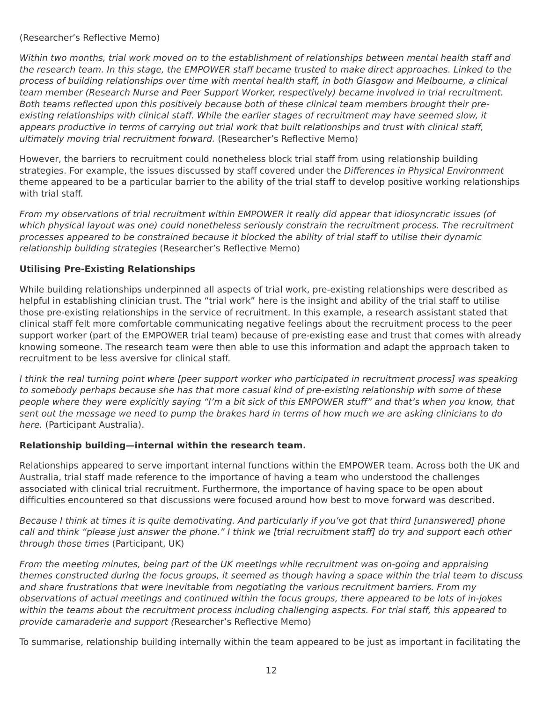(Researcher's Reflective Memo)

Within two months, trial work moved on to the establishment of relationships between mental health staff and the research team. In this stage, the EMPOWER staff became trusted to make direct approaches. Linked to the process of building relationships over time with mental health staff, in both Glasgow and Melbourne, a clinical team member (Research Nurse and Peer Support Worker, respectively) became involved in trial recruitment. Both teams reflected upon this positively because both of these clinical team members brought their preexisting relationships with clinical staff. While the earlier stages of recruitment may have seemed slow, it appears productive in terms of carrying out trial work that built relationships and trust with clinical staff, ultimately moving trial recruitment forward. (Researcher's Reflective Memo)

However, the barriers to recruitment could nonetheless block trial staff from using relationship building strategies. For example, the issues discussed by staff covered under the Differences in Physical Environment theme appeared to be a particular barrier to the ability of the trial staff to develop positive working relationships with trial staff.

From my observations of trial recruitment within EMPOWER it really did appear that idiosyncratic issues (of which physical layout was one) could nonetheless seriously constrain the recruitment process. The recruitment processes appeared to be constrained because it blocked the ability of trial staff to utilise their dynamic relationship building strategies (Researcher's Reflective Memo)

#### **Utilising Pre-Existing Relationships**

While building relationships underpinned all aspects of trial work, pre-existing relationships were described as helpful in establishing clinician trust. The "trial work" here is the insight and ability of the trial staff to utilise those pre-existing relationships in the service of recruitment. In this example, a research assistant stated that clinical staff felt more comfortable communicating negative feelings about the recruitment process to the peer support worker (part of the EMPOWER trial team) because of pre-existing ease and trust that comes with already knowing someone. The research team were then able to use this information and adapt the approach taken to recruitment to be less aversive for clinical staff.

I think the real turning point where [peer support worker who participated in recruitment process] was speaking to somebody perhaps because she has that more casual kind of pre-existing relationship with some of these people where they were explicitly saying "I'm a bit sick of this EMPOWER stuff" and that's when you know, that sent out the message we need to pump the brakes hard in terms of how much we are asking clinicians to do here. (Participant Australia).

#### **Relationship building—internal within the research team.**

Relationships appeared to serve important internal functions within the EMPOWER team. Across both the UK and Australia, trial staff made reference to the importance of having a team who understood the challenges associated with clinical trial recruitment. Furthermore, the importance of having space to be open about difficulties encountered so that discussions were focused around how best to move forward was described.

Because I think at times it is quite demotivating. And particularly if you've got that third [unanswered] phone call and think "please just answer the phone." I think we [trial recruitment staff] do try and support each other through those times (Participant, UK)

From the meeting minutes, being part of the UK meetings while recruitment was on-going and appraising themes constructed during the focus groups, it seemed as though having a space within the trial team to discuss and share frustrations that were inevitable from negotiating the various recruitment barriers. From my observations of actual meetings and continued within the focus groups, there appeared to be lots of in-jokes within the teams about the recruitment process including challenging aspects. For trial staff, this appeared to provide camaraderie and support (Researcher's Reflective Memo)

To summarise, relationship building internally within the team appeared to be just as important in facilitating the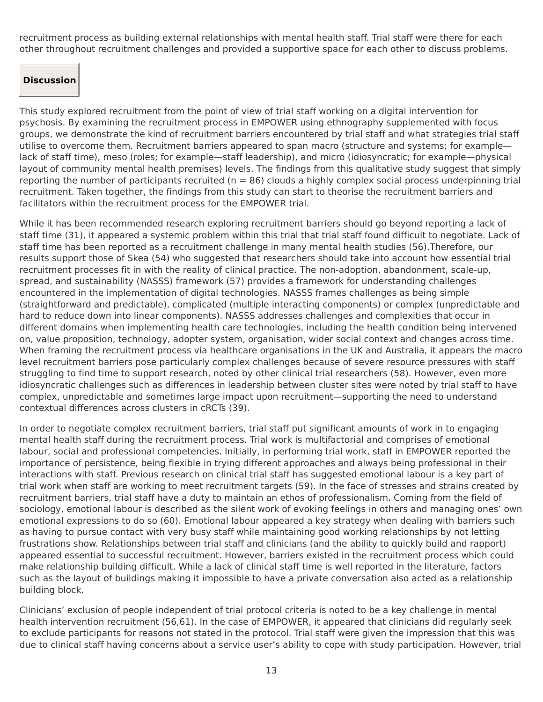recruitment process as building external relationships with mental health staff. Trial staff were there for each other throughout recruitment challenges and provided a supportive space for each other to discuss problems.

### **Discussion**

This study explored recruitment from the point of view of trial staff working on a digital intervention for psychosis. By examining the recruitment process in EMPOWER using ethnography supplemented with focus groups, we demonstrate the kind of recruitment barriers encountered by trial staff and what strategies trial staff utilise to overcome them. Recruitment barriers appeared to span macro (structure and systems; for example lack of staff time), meso (roles; for example—staff leadership), and micro (idiosyncratic; for example—physical layout of community mental health premises) levels. The findings from this qualitative study suggest that simply reporting the number of participants recruited ( $n = 86$ ) clouds a highly complex social process underpinning trial recruitment. Taken together, the findings from this study can start to theorise the recruitment barriers and facilitators within the recruitment process for the EMPOWER trial.

While it has been recommended research exploring recruitment barriers should go beyond reporting a lack of staff time (31), it appeared a systemic problem within this trial that trial staff found difficult to negotiate. Lack of staff time has been reported as a recruitment challenge in many mental health studies (56).Therefore, our results support those of Skea (54) who suggested that researchers should take into account how essential trial recruitment processes fit in with the reality of clinical practice. The non-adoption, abandonment, scale-up, spread, and sustainability (NASSS) framework (57) provides a framework for understanding challenges encountered in the implementation of digital technologies. NASSS frames challenges as being simple (straightforward and predictable), complicated (multiple interacting components) or complex (unpredictable and hard to reduce down into linear components). NASSS addresses challenges and complexities that occur in different domains when implementing health care technologies, including the health condition being intervened on, value proposition, technology, adopter system, organisation, wider social context and changes across time. When framing the recruitment process via healthcare organisations in the UK and Australia, it appears the macro level recruitment barriers pose particularly complex challenges because of severe resource pressures with staff struggling to find time to support research, noted by other clinical trial researchers (58). However, even more idiosyncratic challenges such as differences in leadership between cluster sites were noted by trial staff to have complex, unpredictable and sometimes large impact upon recruitment—supporting the need to understand contextual differences across clusters in cRCTs (39).

In order to negotiate complex recruitment barriers, trial staff put significant amounts of work in to engaging mental health staff during the recruitment process. Trial work is multifactorial and comprises of emotional labour, social and professional competencies. Initially, in performing trial work, staff in EMPOWER reported the importance of persistence, being flexible in trying different approaches and always being professional in their interactions with staff. Previous research on clinical trial staff has suggested emotional labour is a key part of trial work when staff are working to meet recruitment targets (59). In the face of stresses and strains created by recruitment barriers, trial staff have a duty to maintain an ethos of professionalism. Coming from the field of sociology, emotional labour is described as the silent work of evoking feelings in others and managing ones' own emotional expressions to do so (60). Emotional labour appeared a key strategy when dealing with barriers such as having to pursue contact with very busy staff while maintaining good working relationships by not letting frustrations show. Relationships between trial staff and clinicians (and the ability to quickly build and rapport) appeared essential to successful recruitment. However, barriers existed in the recruitment process which could make relationship building difficult. While a lack of clinical staff time is well reported in the literature, factors such as the layout of buildings making it impossible to have a private conversation also acted as a relationship building block.

Clinicians' exclusion of people independent of trial protocol criteria is noted to be a key challenge in mental health intervention recruitment (56,61). In the case of EMPOWER, it appeared that clinicians did regularly seek to exclude participants for reasons not stated in the protocol. Trial staff were given the impression that this was due to clinical staff having concerns about a service user's ability to cope with study participation. However, trial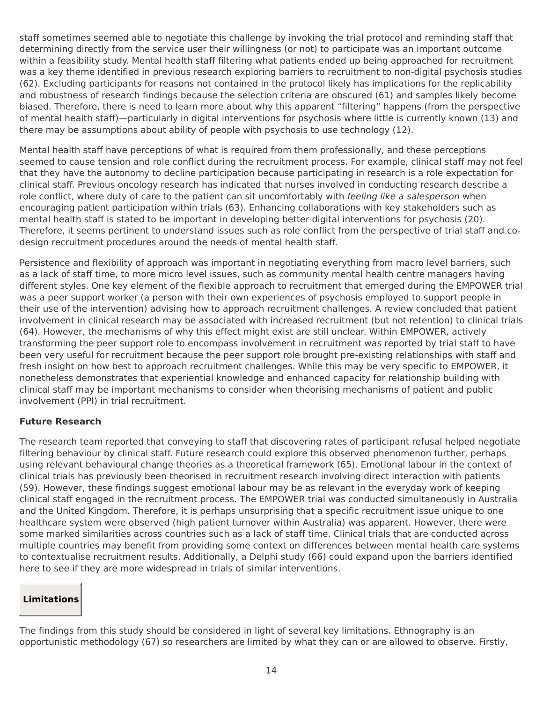staff sometimes seemed able to negotiate this challenge by invoking the trial protocol and reminding staff that determining directly from the service user their willingness (or not) to participate was an important outcome within a feasibility study. Mental health staff filtering what patients ended up being approached for recruitment was a key theme identified in previous research exploring barriers to recruitment to non-digital psychosis studies (62). Excluding participants for reasons not contained in the protocol likely has implications for the replicability and robustness of research findings because the selection criteria are obscured (61) and samples likely become biased. Therefore, there is need to learn more about why this apparent "filtering" happens (from the perspective of mental health staff)—particularly in digital interventions for psychosis where little is currently known (13) and there may be assumptions about ability of people with psychosis to use technology (12).

Mental health staff have perceptions of what is required from them professionally, and these perceptions seemed to cause tension and role conflict during the recruitment process. For example, clinical staff may not feel that they have the autonomy to decline participation because participating in research is a role expectation for clinical staff. Previous oncology research has indicated that nurses involved in conducting research describe a role conflict, where duty of care to the patient can sit uncomfortably with *feeling like a salesperson* when encouraging patient participation within trials (63). Enhancing collaborations with key stakeholders such as mental health staff is stated to be important in developing better digital interventions for psychosis (20). Therefore, it seems pertinent to understand issues such as role conflict from the perspective of trial staff and codesign recruitment procedures around the needs of mental health staff.

Persistence and flexibility of approach was important in negotiating everything from macro level barriers, such as a lack of staff time, to more micro level issues, such as community mental health centre managers having different styles. One key element of the flexible approach to recruitment that emerged during the EMPOWER trial was a peer support worker (a person with their own experiences of psychosis employed to support people in their use of the intervention) advising how to approach recruitment challenges. A review concluded that patient involvement in clinical research may be associated with increased recruitment (but not retention) to clinical trials (64). However, the mechanisms of why this effect might exist are still unclear. Within EMPOWER, actively transforming the peer support role to encompass involvement in recruitment was reported by trial staff to have been very useful for recruitment because the peer support role brought pre-existing relationships with staff and fresh insight on how best to approach recruitment challenges. While this may be very specific to EMPOWER, it nonetheless demonstrates that experiential knowledge and enhanced capacity for relationship building with clinical staff may be important mechanisms to consider when theorising mechanisms of patient and public involvement (PPI) in trial recruitment.

#### **Future Research**

The research team reported that conveying to staff that discovering rates of participant refusal helped negotiate filtering behaviour by clinical staff. Future research could explore this observed phenomenon further, perhaps using relevant behavioural change theories as a theoretical framework (65). Emotional labour in the context of clinical trials has previously been theorised in recruitment research involving direct interaction with patients (59). However, these findings suggest emotional labour may be as relevant in the everyday work of keeping clinical staff engaged in the recruitment process. The EMPOWER trial was conducted simultaneously in Australia and the United Kingdom. Therefore, it is perhaps unsurprising that a specific recruitment issue unique to one healthcare system were observed (high patient turnover within Australia) was apparent. However, there were some marked similarities across countries such as a lack of staff time. Clinical trials that are conducted across multiple countries may benefit from providing some context on differences between mental health care systems to contextualise recruitment results. Additionally, a Delphi study (66) could expand upon the barriers identified here to see if they are more widespread in trials of similar interventions.

### **Limitations**

The findings from this study should be considered in light of several key limitations. Ethnography is an opportunistic methodology (67) so researchers are limited by what they can or are allowed to observe. Firstly,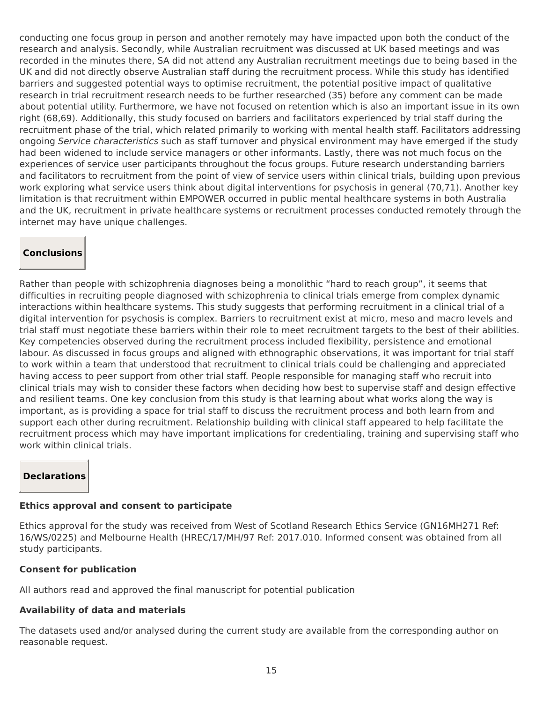conducting one focus group in person and another remotely may have impacted upon both the conduct of the research and analysis. Secondly, while Australian recruitment was discussed at UK based meetings and was recorded in the minutes there, SA did not attend any Australian recruitment meetings due to being based in the UK and did not directly observe Australian staff during the recruitment process. While this study has identified barriers and suggested potential ways to optimise recruitment, the potential positive impact of qualitative research in trial recruitment research needs to be further researched (35) before any comment can be made about potential utility. Furthermore, we have not focused on retention which is also an important issue in its own right (68,69). Additionally, this study focused on barriers and facilitators experienced by trial staff during the recruitment phase of the trial, which related primarily to working with mental health staff. Facilitators addressing ongoing Service characteristics such as staff turnover and physical environment may have emerged if the study had been widened to include service managers or other informants. Lastly, there was not much focus on the experiences of service user participants throughout the focus groups. Future research understanding barriers and facilitators to recruitment from the point of view of service users within clinical trials, building upon previous work exploring what service users think about digital interventions for psychosis in general (70,71). Another key limitation is that recruitment within EMPOWER occurred in public mental healthcare systems in both Australia and the UK, recruitment in private healthcare systems or recruitment processes conducted remotely through the internet may have unique challenges.

### **Conclusions**

Rather than people with schizophrenia diagnoses being a monolithic "hard to reach group", it seems that difficulties in recruiting people diagnosed with schizophrenia to clinical trials emerge from complex dynamic interactions within healthcare systems. This study suggests that performing recruitment in a clinical trial of a digital intervention for psychosis is complex. Barriers to recruitment exist at micro, meso and macro levels and trial staff must negotiate these barriers within their role to meet recruitment targets to the best of their abilities. Key competencies observed during the recruitment process included flexibility, persistence and emotional labour. As discussed in focus groups and aligned with ethnographic observations, it was important for trial staff to work within a team that understood that recruitment to clinical trials could be challenging and appreciated having access to peer support from other trial staff. People responsible for managing staff who recruit into clinical trials may wish to consider these factors when deciding how best to supervise staff and design effective and resilient teams. One key conclusion from this study is that learning about what works along the way is important, as is providing a space for trial staff to discuss the recruitment process and both learn from and support each other during recruitment. Relationship building with clinical staff appeared to help facilitate the recruitment process which may have important implications for credentialing, training and supervising staff who work within clinical trials.

### **Declarations**

### **Ethics approval and consent to participate**

Ethics approval for the study was received from West of Scotland Research Ethics Service (GN16MH271 Ref: 16/WS/0225) and Melbourne Health (HREC/17/MH/97 Ref: 2017.010. Informed consent was obtained from all study participants.

## **Consent for publication**

All authors read and approved the final manuscript for potential publication

## **Availability of data and materials**

The datasets used and/or analysed during the current study are available from the corresponding author on reasonable request.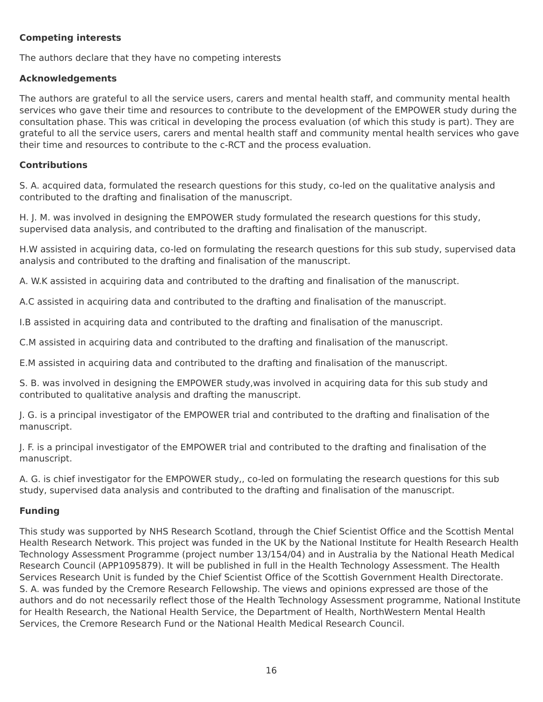#### **Competing interests**

The authors declare that they have no competing interests

## **Acknowledgements**

The authors are grateful to all the service users, carers and mental health staff, and community mental health services who gave their time and resources to contribute to the development of the EMPOWER study during the consultation phase. This was critical in developing the process evaluation (of which this study is part). They are grateful to all the service users, carers and mental health staff and community mental health services who gave their time and resources to contribute to the c-RCT and the process evaluation.

## **Contributions**

S. A. acquired data, formulated the research questions for this study, co-led on the qualitative analysis and contributed to the drafting and finalisation of the manuscript.

H. J. M. was involved in designing the EMPOWER study formulated the research questions for this study, supervised data analysis, and contributed to the drafting and finalisation of the manuscript.

H.W assisted in acquiring data, co-led on formulating the research questions for this sub study, supervised data analysis and contributed to the drafting and finalisation of the manuscript.

A. W.K assisted in acquiring data and contributed to the drafting and finalisation of the manuscript.

A.C assisted in acquiring data and contributed to the drafting and finalisation of the manuscript.

I.B assisted in acquiring data and contributed to the drafting and finalisation of the manuscript.

C.M assisted in acquiring data and contributed to the drafting and finalisation of the manuscript.

E.M assisted in acquiring data and contributed to the drafting and finalisation of the manuscript.

S. B. was involved in designing the EMPOWER study,was involved in acquiring data for this sub study and contributed to qualitative analysis and drafting the manuscript.

J. G. is a principal investigator of the EMPOWER trial and contributed to the drafting and finalisation of the manuscript.

J. F. is a principal investigator of the EMPOWER trial and contributed to the drafting and finalisation of the manuscript.

A. G. is chief investigator for the EMPOWER study,, co-led on formulating the research questions for this sub study, supervised data analysis and contributed to the drafting and finalisation of the manuscript.

## **Funding**

This study was supported by NHS Research Scotland, through the Chief Scientist Office and the Scottish Mental Health Research Network. This project was funded in the UK by the National Institute for Health Research Health Technology Assessment Programme (project number 13/154/04) and in Australia by the National Heath Medical Research Council (APP1095879). It will be published in full in the Health Technology Assessment. The Health Services Research Unit is funded by the Chief Scientist Office of the Scottish Government Health Directorate. S. A. was funded by the Cremore Research Fellowship. The views and opinions expressed are those of the authors and do not necessarily reflect those of the Health Technology Assessment programme, National Institute for Health Research, the National Health Service, the Department of Health, NorthWestern Mental Health Services, the Cremore Research Fund or the National Health Medical Research Council.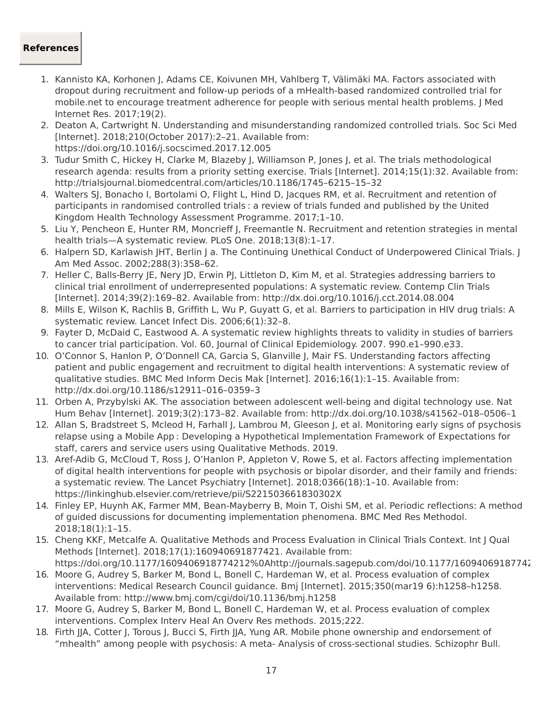#### **References**

- 1. Kannisto KA, Korhonen J, Adams CE, Koivunen MH, Vahlberg T, Välimäki MA. Factors associated with dropout during recruitment and follow-up periods of a mHealth-based randomized controlled trial for mobile.net to encourage treatment adherence for people with serious mental health problems. J Med Internet Res. 2017;19(2).
- 2. Deaton A, Cartwright N. Understanding and misunderstanding randomized controlled trials. Soc Sci Med [Internet]. 2018;210(October 2017):2–21. Available from: https://doi.org/10.1016/j.socscimed.2017.12.005
- 3. Tudur Smith C, Hickey H, Clarke M, Blazeby J, Williamson P, Jones J, et al. The trials methodological research agenda: results from a priority setting exercise. Trials [Internet]. 2014;15(1):32. Available from: http://trialsjournal.biomedcentral.com/articles/10.1186/1745–6215–15–32
- 4. Walters SJ, Bonacho I, Bortolami O, Flight L, Hind D, Jacques RM, et al. Recruitment and retention of participants in randomised controlled trials : a review of trials funded and published by the United Kingdom Health Technology Assessment Programme. 2017;1–10.
- 5. Liu Y, Pencheon E, Hunter RM, Moncrieff J, Freemantle N. Recruitment and retention strategies in mental health trials—A systematic review. PLoS One. 2018;13(8):1–17.
- 6. Halpern SD, Karlawish JHT, Berlin J a. The Continuing Unethical Conduct of Underpowered Clinical Trials. J Am Med Assoc. 2002;288(3):358–62.
- 7. Heller C, Balls-Berry JE, Nery JD, Erwin PJ, Littleton D, Kim M, et al. Strategies addressing barriers to clinical trial enrollment of underrepresented populations: A systematic review. Contemp Clin Trials [Internet]. 2014;39(2):169–82. Available from: http://dx.doi.org/10.1016/j.cct.2014.08.004
- 8. Mills E, Wilson K, Rachlis B, Griffith L, Wu P, Guyatt G, et al. Barriers to participation in HIV drug trials: A systematic review. Lancet Infect Dis. 2006;6(1):32–8.
- 9. Fayter D, McDaid C, Eastwood A. A systematic review highlights threats to validity in studies of barriers to cancer trial participation. Vol. 60, Journal of Clinical Epidemiology. 2007. 990.e1–990.e33.
- 10. O'Connor S, Hanlon P, O'Donnell CA, Garcia S, Glanville J, Mair FS. Understanding factors affecting patient and public engagement and recruitment to digital health interventions: A systematic review of qualitative studies. BMC Med Inform Decis Mak [Internet]. 2016;16(1):1–15. Available from: http://dx.doi.org/10.1186/s12911–016–0359–3
- 11. Orben A, Przybylski AK. The association between adolescent well-being and digital technology use. Nat Hum Behav [Internet]. 2019;3(2):173–82. Available from: http://dx.doi.org/10.1038/s41562–018–0506–1
- 12. Allan S, Bradstreet S, Mcleod H, Farhall J, Lambrou M, Gleeson J, et al. Monitoring early signs of psychosis relapse using a Mobile App : Developing a Hypothetical Implementation Framework of Expectations for staff, carers and service users using Qualitative Methods. 2019.
- 13. Aref-Adib G, McCloud T, Ross J, O'Hanlon P, Appleton V, Rowe S, et al. Factors affecting implementation of digital health interventions for people with psychosis or bipolar disorder, and their family and friends: a systematic review. The Lancet Psychiatry [Internet]. 2018;0366(18):1–10. Available from: https://linkinghub.elsevier.com/retrieve/pii/S221503661830302X
- 14. Finley EP, Huynh AK, Farmer MM, Bean-Mayberry B, Moin T, Oishi SM, et al. Periodic reflections: A method of guided discussions for documenting implementation phenomena. BMC Med Res Methodol. 2018;18(1):1–15.
- 15. Cheng KKF, Metcalfe A. Qualitative Methods and Process Evaluation in Clinical Trials Context. Int J Qual Methods [Internet]. 2018;17(1):160940691877421. Available from: https://doi.org/10.1177/1609406918774212%0Ahttp://journals.sagepub.com/doi/10.1177/16094069187742
- 16. Moore G, Audrey S, Barker M, Bond L, Bonell C, Hardeman W, et al. Process evaluation of complex interventions: Medical Research Council guidance. Bmj [Internet]. 2015;350(mar19 6):h1258–h1258. Available from: http://www.bmj.com/cgi/doi/10.1136/bmj.h1258
- 17. Moore G, Audrey S, Barker M, Bond L, Bonell C, Hardeman W, et al. Process evaluation of complex interventions. Complex Interv Heal An Overv Res methods. 2015;222.
- 18. Firth JJA, Cotter J, Torous J, Bucci S, Firth JJA, Yung AR. Mobile phone ownership and endorsement of "mhealth" among people with psychosis: A meta- Analysis of cross-sectional studies. Schizophr Bull.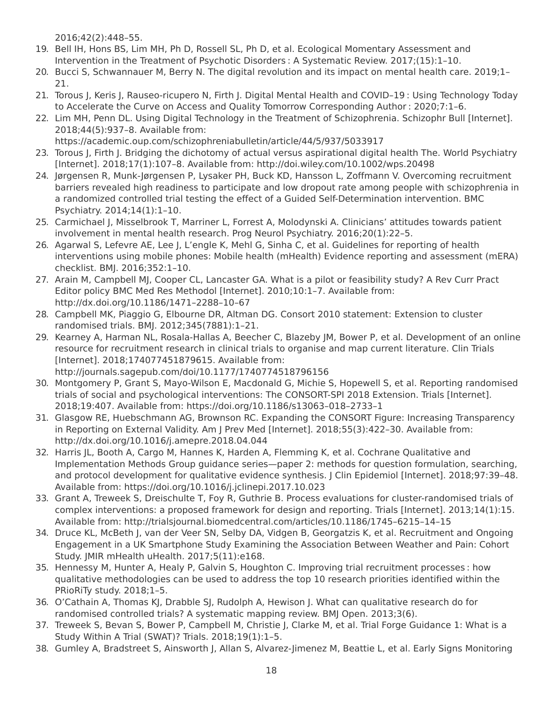2016;42(2):448–55.

- 19. Bell IH, Hons BS, Lim MH, Ph D, Rossell SL, Ph D, et al. Ecological Momentary Assessment and Intervention in the Treatment of Psychotic Disorders : A Systematic Review. 2017;(15):1–10.
- 20. Bucci S, Schwannauer M, Berry N. The digital revolution and its impact on mental health care. 2019;1– 21.
- 21. Torous J, Keris J, Rauseo-ricupero N, Firth J. Digital Mental Health and COVID–19 : Using Technology Today to Accelerate the Curve on Access and Quality Tomorrow Corresponding Author : 2020;7:1–6.
- 22. Lim MH, Penn DL. Using Digital Technology in the Treatment of Schizophrenia. Schizophr Bull [Internet]. 2018;44(5):937–8. Available from: https://academic.oup.com/schizophreniabulletin/article/44/5/937/5033917
- 23. Torous J, Firth J. Bridging the dichotomy of actual versus aspirational digital health The. World Psychiatry [Internet]. 2018;17(1):107–8. Available from: http://doi.wiley.com/10.1002/wps.20498
- 24. Jørgensen R, Munk-Jørgensen P, Lysaker PH, Buck KD, Hansson L, Zoffmann V. Overcoming recruitment barriers revealed high readiness to participate and low dropout rate among people with schizophrenia in a randomized controlled trial testing the effect of a Guided Self-Determination intervention. BMC Psychiatry. 2014;14(1):1–10.
- 25. Carmichael J, Misselbrook T, Marriner L, Forrest A, Molodynski A. Clinicians' attitudes towards patient involvement in mental health research. Prog Neurol Psychiatry. 2016;20(1):22–5.
- 26. Agarwal S, Lefevre AE, Lee J, L'engle K, Mehl G, Sinha C, et al. Guidelines for reporting of health interventions using mobile phones: Mobile health (mHealth) Evidence reporting and assessment (mERA) checklist. BMJ. 2016;352:1–10.
- 27. Arain M, Campbell MJ, Cooper CL, Lancaster GA. What is a pilot or feasibility study? A Rev Curr Pract Editor policy BMC Med Res Methodol [Internet]. 2010;10:1–7. Available from: http://dx.doi.org/10.1186/1471–2288–10–67
- 28. Campbell MK, Piaggio G, Elbourne DR, Altman DG. Consort 2010 statement: Extension to cluster randomised trials. BMJ. 2012;345(7881):1–21.
- 29. Kearney A, Harman NL, Rosala-Hallas A, Beecher C, Blazeby JM, Bower P, et al. Development of an online resource for recruitment research in clinical trials to organise and map current literature. Clin Trials [Internet]. 2018;174077451879615. Available from: http://journals.sagepub.com/doi/10.1177/1740774518796156
- 30. Montgomery P, Grant S, Mayo-Wilson E, Macdonald G, Michie S, Hopewell S, et al. Reporting randomised trials of social and psychological interventions: The CONSORT-SPI 2018 Extension. Trials [Internet]. 2018;19:407. Available from: https://doi.org/10.1186/s13063–018–2733–1
- 31. Glasgow RE, Huebschmann AG, Brownson RC. Expanding the CONSORT Figure: Increasing Transparency in Reporting on External Validity. Am J Prev Med [Internet]. 2018;55(3):422–30. Available from: http://dx.doi.org/10.1016/j.amepre.2018.04.044
- 32. Harris JL, Booth A, Cargo M, Hannes K, Harden A, Flemming K, et al. Cochrane Qualitative and Implementation Methods Group guidance series—paper 2: methods for question formulation, searching, and protocol development for qualitative evidence synthesis. J Clin Epidemiol [Internet]. 2018;97:39–48. Available from: https://doi.org/10.1016/j.jclinepi.2017.10.023
- 33. Grant A, Treweek S, Dreischulte T, Foy R, Guthrie B. Process evaluations for cluster-randomised trials of complex interventions: a proposed framework for design and reporting. Trials [Internet]. 2013;14(1):15. Available from: http://trialsjournal.biomedcentral.com/articles/10.1186/1745–6215–14–15
- 34. Druce KL, McBeth J, van der Veer SN, Selby DA, Vidgen B, Georgatzis K, et al. Recruitment and Ongoing Engagement in a UK Smartphone Study Examining the Association Between Weather and Pain: Cohort Study. JMIR mHealth uHealth. 2017;5(11):e168.
- 35. Hennessy M, Hunter A, Healy P, Galvin S, Houghton C. Improving trial recruitment processes : how qualitative methodologies can be used to address the top 10 research priorities identified within the PRioRiTy study. 2018;1–5.
- 36. O'Cathain A, Thomas KJ, Drabble SJ, Rudolph A, Hewison J. What can qualitative research do for randomised controlled trials? A systematic mapping review. BMJ Open. 2013;3(6).
- 37. Treweek S, Bevan S, Bower P, Campbell M, Christie J, Clarke M, et al. Trial Forge Guidance 1: What is a Study Within A Trial (SWAT)? Trials. 2018;19(1):1–5.
- 38. Gumley A, Bradstreet S, Ainsworth J, Allan S, Alvarez-Jimenez M, Beattie L, et al. Early Signs Monitoring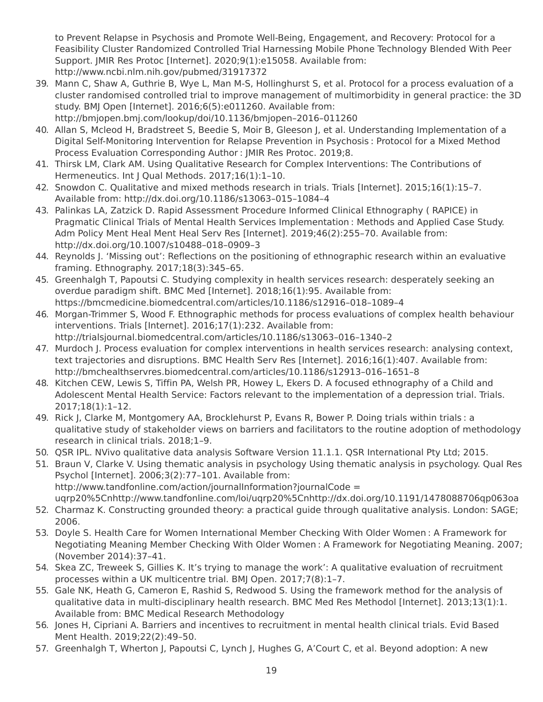to Prevent Relapse in Psychosis and Promote Well-Being, Engagement, and Recovery: Protocol for a Feasibility Cluster Randomized Controlled Trial Harnessing Mobile Phone Technology Blended With Peer Support. JMIR Res Protoc [Internet]. 2020;9(1):e15058. Available from: http://www.ncbi.nlm.nih.gov/pubmed/31917372

- 39. Mann C, Shaw A, Guthrie B, Wye L, Man M-S, Hollinghurst S, et al. Protocol for a process evaluation of a cluster randomised controlled trial to improve management of multimorbidity in general practice: the 3D study. BMJ Open [Internet]. 2016;6(5):e011260. Available from: http://bmjopen.bmj.com/lookup/doi/10.1136/bmjopen–2016–011260
- 40. Allan S, Mcleod H, Bradstreet S, Beedie S, Moir B, Gleeson J, et al. Understanding Implementation of a Digital Self-Monitoring Intervention for Relapse Prevention in Psychosis : Protocol for a Mixed Method Process Evaluation Corresponding Author : JMIR Res Protoc. 2019;8.
- 41. Thirsk LM, Clark AM. Using Qualitative Research for Complex Interventions: The Contributions of Hermeneutics. Int J Qual Methods. 2017;16(1):1-10.
- 42. Snowdon C. Qualitative and mixed methods research in trials. Trials [Internet]. 2015;16(1):15–7. Available from: http://dx.doi.org/10.1186/s13063–015–1084–4
- 43. Palinkas LA, Zatzick D. Rapid Assessment Procedure Informed Clinical Ethnography ( RAPICE) in Pragmatic Clinical Trials of Mental Health Services Implementation : Methods and Applied Case Study. Adm Policy Ment Heal Ment Heal Serv Res [Internet]. 2019;46(2):255–70. Available from: http://dx.doi.org/10.1007/s10488–018–0909–3
- 44. Reynolds J. 'Missing out': Reflections on the positioning of ethnographic research within an evaluative framing. Ethnography. 2017;18(3):345–65.
- 45. Greenhalgh T, Papoutsi C. Studying complexity in health services research: desperately seeking an overdue paradigm shift. BMC Med [Internet]. 2018;16(1):95. Available from: https://bmcmedicine.biomedcentral.com/articles/10.1186/s12916–018–1089–4
- 46. Morgan-Trimmer S, Wood F. Ethnographic methods for process evaluations of complex health behaviour interventions. Trials [Internet]. 2016;17(1):232. Available from: http://trialsjournal.biomedcentral.com/articles/10.1186/s13063–016–1340–2
- 47. Murdoch J. Process evaluation for complex interventions in health services research: analysing context, text trajectories and disruptions. BMC Health Serv Res [Internet]. 2016;16(1):407. Available from: http://bmchealthservres.biomedcentral.com/articles/10.1186/s12913–016–1651–8
- 48. Kitchen CEW, Lewis S, Tiffin PA, Welsh PR, Howey L, Ekers D. A focused ethnography of a Child and Adolescent Mental Health Service: Factors relevant to the implementation of a depression trial. Trials. 2017;18(1):1–12.
- 49. Rick J, Clarke M, Montgomery AA, Brocklehurst P, Evans R, Bower P. Doing trials within trials : a qualitative study of stakeholder views on barriers and facilitators to the routine adoption of methodology research in clinical trials. 2018;1–9.
- 50. QSR IPL. NVivo qualitative data analysis Software Version 11.1.1. QSR International Pty Ltd; 2015.
- 51. Braun V, Clarke V. Using thematic analysis in psychology Using thematic analysis in psychology. Qual Res Psychol [Internet]. 2006;3(2):77–101. Available from: http://www.tandfonline.com/action/journalInformation?journalCode = uqrp20%5Cnhttp://www.tandfonline.com/loi/uqrp20%5Cnhttp://dx.doi.org/10.1191/1478088706qp063oa
- 52. Charmaz K. Constructing grounded theory: a practical guide through qualitative analysis. London: SAGE; 2006.
- 53. Doyle S. Health Care for Women International Member Checking With Older Women : A Framework for Negotiating Meaning Member Checking With Older Women : A Framework for Negotiating Meaning. 2007; (November 2014):37–41.
- 54. Skea ZC, Treweek S, Gillies K. It's trying to manage the work': A qualitative evaluation of recruitment processes within a UK multicentre trial. BMJ Open. 2017;7(8):1–7.
- 55. Gale NK, Heath G, Cameron E, Rashid S, Redwood S. Using the framework method for the analysis of qualitative data in multi-disciplinary health research. BMC Med Res Methodol [Internet]. 2013;13(1):1. Available from: BMC Medical Research Methodology
- 56. Jones H, Cipriani A. Barriers and incentives to recruitment in mental health clinical trials. Evid Based Ment Health. 2019;22(2):49–50.
- 57. Greenhalgh T, Wherton J, Papoutsi C, Lynch J, Hughes G, A'Court C, et al. Beyond adoption: A new